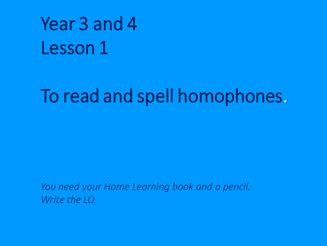# Year 3 and 4 Lesson 1

## To read and spell homophones.

*You need your Home Learning book and a pencil. Write the LO.*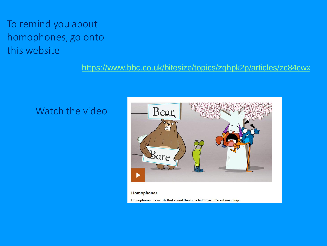### To remind you about homophones, go onto this website

#### <https://www.bbc.co.uk/bitesize/topics/zqhpk2p/articles/zc84cwx>

#### Watch the video



#### **Homophones**

Homophones are words that sound the same but have different meanings.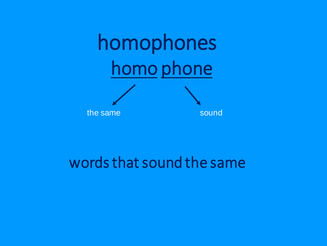

### words that sound the same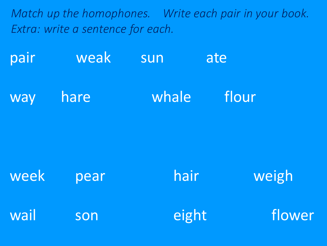*Match up the homophones. Write each pair in your book. Extra: write a sentence for each.*

pair weak sun ate way hare whale flour

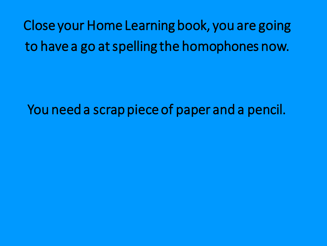Close your Home Learning book, you are going to have a go at spelling the homophones now.

You need a scrap piece of paper and a pencil.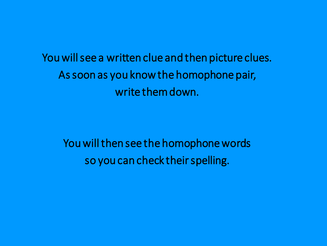You will see a written clue and then picture clues. As soon as you know the homophone pair, write them down.

You will then see the homophone words so you can check their spelling.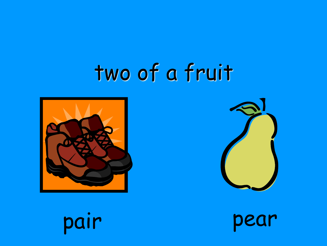# two of a fruit





pear

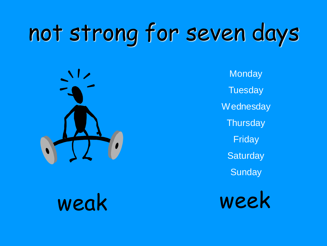# not strong for seven days



**Monday Tuesday** Wednesday **Thursday** Friday **Saturday Sunday** 

weak week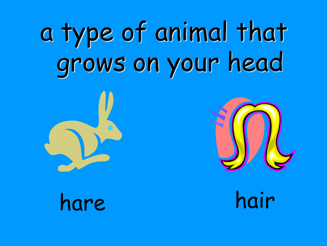# a type of animal that grows on your head





hare hair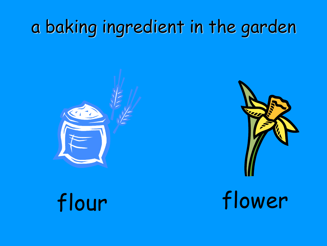## a baking ingredient in the garden





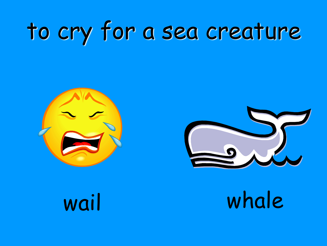# to cry for a sea creature





wail whale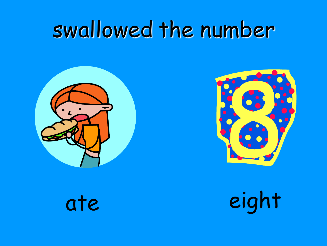# swallowed the number





ate

eight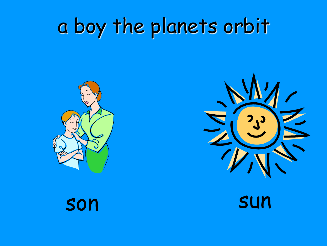# a boy the planets orbit





son

sun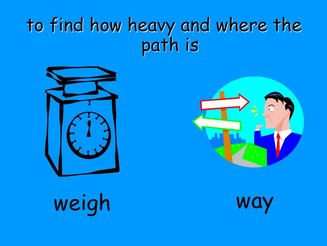## to find how heavy and where the path is





weigh way